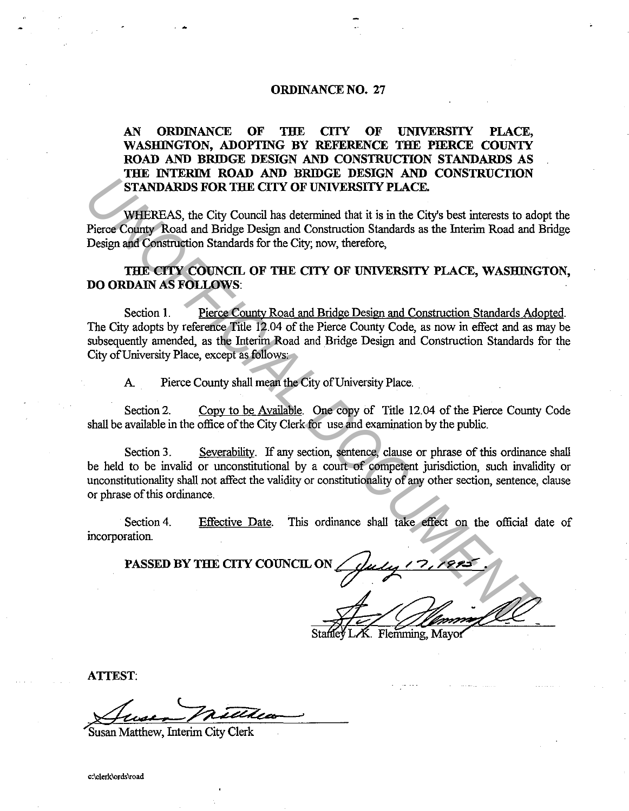## **ORDINANCE NO. 27**

## **AN ORDINANCE OF THE CITY OF UNIVERSITY PLACE, WASHINGTON, ADOPTING BY REFERENCE THE PIERCE COUNTY ROAD AND BRIDGE DESIGN AND CONSTRUCTION STANDARDS AS THE INTERIM ROAD AND BRIDGE DESIGN AND CONSTRUCTION STANDARDS FOR THE CITY OF UNIVERSITY PLACE.**

WHEREAS, the City Council has determined that it is in the City's best interests to adopt the Pierce County Road and Bridge Design and Construction Standards as the Interim Road and Bridge Design and Construction Standards for the City; now, therefore,

**THE CITY COUNCIL OF THE CITY OF UNIVERSITY PLACE, WASHINGTON, DO ORDAIN AS FOLLOWS:** 

Section **1.** Pierce County Road and Bridge Design and Construction Standards Adopted. The City adopts by reference Title 12.04 of the Pierce County Code, as now in effect and as may be subsequently amended, as the Interim Road and Bridge Design and Construction Standards for the City of University Place, except as follows: **UNITEREAS, the City Council has determined that it is in the City's best interests to add<br>
Pierce Comparison and Bridge Design and Construction Standards as the Interim Road and Bridge Design and Construction Standards fo** 

A. Pierce County shall mean the City of University Place.

Section 2. Copy to be Available. One copy of Title 12.04 of the Pierce County Code shall be available in the office of the City Clerk for use and examination by the public.

Section 3. Severability. If any section, sentence, clause or phrase of this ordinance shall be held to be invalid or unconstitutional by a court of competent jurisdiction, such invalidity or unconstitutionality shall not affect the validity or constitutionality of any other section, sentence, clause or phrase of this ordinance.

Section 4. incorporation. Effective Date. This ordinance shall take effect on the official date of

**PASSED BY THE CITY COUNCIL ON** 

Statiley LK. Flemming, Mayor

**ATTEST:** 

Susan Matthew, Interim City Clerk

**c:\clerk\ords\road**